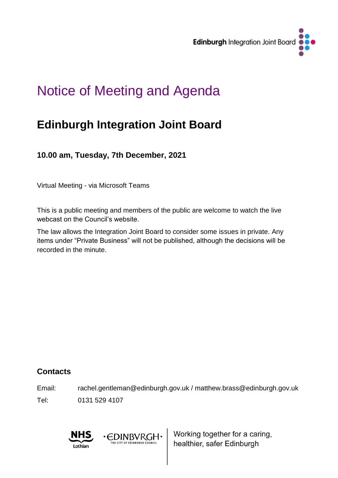

# Notice of Meeting and Agenda

# **Edinburgh Integration Joint Board**

**10.00 am, Tuesday, 7th December, 2021**

Virtual Meeting - via Microsoft Teams

This is a public meeting and members of the public are welcome to watch the live webcast on the Council's website.

The law allows the Integration Joint Board to consider some issues in private. Any items under "Private Business" will not be published, although the decisions will be recorded in the minute.

# **Contacts**

Email: rachel.gentleman@edinburgh.gov.uk / matthew.brass@edinburgh.gov.uk

· EDINBVRGH· THE CITY OF EDINBURGH COUNCIL

Tel: 0131 529 4107



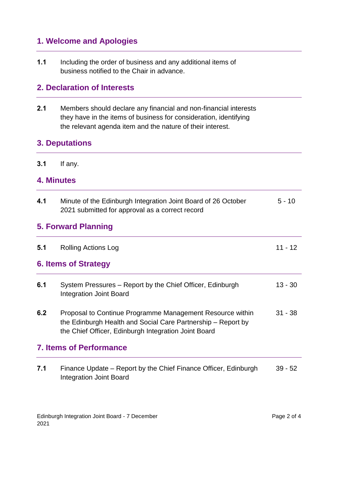# **1. Welcome and Apologies**

**1.1** Including the order of business and any additional items of business notified to the Chair in advance.

#### **2. Declaration of Interests**

**2.1** Members should declare any financial and non-financial interests they have in the items of business for consideration, identifying the relevant agenda item and the nature of their interest.

### **3. Deputations**

**3.1** If any.

#### **4. Minutes**

| 4.1                        | Minute of the Edinburgh Integration Joint Board of 26 October<br>2021 submitted for approval as a correct record                                                                  | $5 - 10$  |  |
|----------------------------|-----------------------------------------------------------------------------------------------------------------------------------------------------------------------------------|-----------|--|
| <b>5. Forward Planning</b> |                                                                                                                                                                                   |           |  |
| 5.1                        | <b>Rolling Actions Log</b>                                                                                                                                                        | $11 - 12$ |  |
|                            | 6. Items of Strategy                                                                                                                                                              |           |  |
| 6.1                        | System Pressures – Report by the Chief Officer, Edinburgh<br><b>Integration Joint Board</b>                                                                                       | $13 - 30$ |  |
| 6.2                        | Proposal to Continue Programme Management Resource within<br>the Edinburgh Health and Social Care Partnership – Report by<br>the Chief Officer, Edinburgh Integration Joint Board | $31 - 38$ |  |
|                            | <b>7. Items of Performance</b>                                                                                                                                                    |           |  |
| 7.1                        | Finance Update – Report by the Chief Finance Officer, Edinburgh<br><b>Integration Joint Board</b>                                                                                 | $39 - 52$ |  |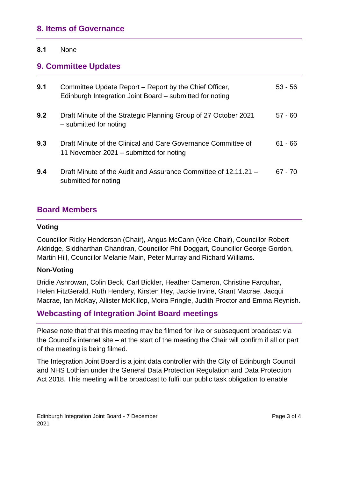#### **8. Items of Governance**

#### **8.1** None

#### **9. Committee Updates**

| 9.1 | Committee Update Report – Report by the Chief Officer,<br>Edinburgh Integration Joint Board – submitted for noting | $53 - 56$ |
|-----|--------------------------------------------------------------------------------------------------------------------|-----------|
| 9.2 | Draft Minute of the Strategic Planning Group of 27 October 2021<br>- submitted for noting                          | $57 - 60$ |
| 9.3 | Draft Minute of the Clinical and Care Governance Committee of<br>11 November 2021 – submitted for noting           | $61 - 66$ |
| 9.4 | Draft Minute of the Audit and Assurance Committee of 12.11.21 -<br>submitted for noting                            | $67 - 70$ |

#### **Board Members**

#### **Voting**

Councillor Ricky Henderson (Chair), Angus McCann (Vice-Chair), Councillor Robert Aldridge, Siddharthan Chandran, Councillor Phil Doggart, Councillor George Gordon, Martin Hill, Councillor Melanie Main, Peter Murray and Richard Williams.

#### **Non-Voting**

Bridie Ashrowan, Colin Beck, Carl Bickler, Heather Cameron, Christine Farquhar, Helen FitzGerald, Ruth Hendery, Kirsten Hey, Jackie Irvine, Grant Macrae, Jacqui Macrae, Ian McKay, Allister McKillop, Moira Pringle, Judith Proctor and Emma Reynish.

### **Webcasting of Integration Joint Board meetings**

Please note that that this meeting may be filmed for live or subsequent broadcast via the Council's internet site – at the start of the meeting the Chair will confirm if all or part of the meeting is being filmed.

The Integration Joint Board is a joint data controller with the City of Edinburgh Council and NHS Lothian under the General Data Protection Regulation and Data Protection Act 2018. This meeting will be broadcast to fulfil our public task obligation to enable